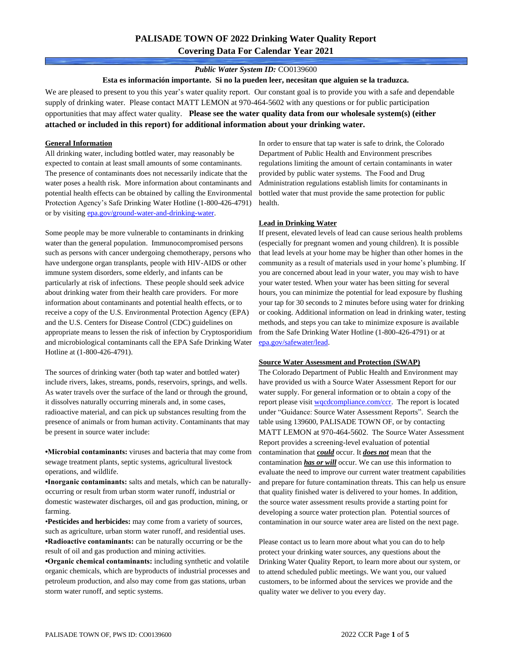# **PALISADE TOWN OF 2022 Drinking Water Quality Report Covering Data For Calendar Year 2021**

## *Public Water System ID:* CO0139600

**Esta es información importante. Si no la pueden leer, necesitan que alguien se la traduzca.**

We are pleased to present to you this year's water quality report. Our constant goal is to provide you with a safe and dependable supply of drinking water. Please contact MATT LEMON at 970-464-5602 with any questions or for public participation opportunities that may affect water quality. **Please see the water quality data from our wholesale system(s) (either attached or included in this report) for additional information about your drinking water.**

### **General Information**

All drinking water, including bottled water, may reasonably be expected to contain at least small amounts of some contaminants. The presence of contaminants does not necessarily indicate that the water poses a health risk. More information about contaminants and potential health effects can be obtained by calling the Environmental Protection Agency's Safe Drinking Water Hotline (1-800-426-4791) or by visiting [epa.gov/ground-water-and-drinking-water.](https://www.epa.gov/ground-water-and-drinking-water)

Some people may be more vulnerable to contaminants in drinking water than the general population. Immunocompromised persons such as persons with cancer undergoing chemotherapy, persons who have undergone organ transplants, people with HIV-AIDS or other immune system disorders, some elderly, and infants can be particularly at risk of infections. These people should seek advice about drinking water from their health care providers. For more information about contaminants and potential health effects, or to receive a copy of the U.S. Environmental Protection Agency (EPA) and the U.S. Centers for Disease Control (CDC) guidelines on appropriate means to lessen the risk of infection by Cryptosporidium and microbiological contaminants call the EPA Safe Drinking Water Hotline at (1-800-426-4791).

The sources of drinking water (both tap water and bottled water) include rivers, lakes, streams, ponds, reservoirs, springs, and wells. As water travels over the surface of the land or through the ground, it dissolves naturally occurring minerals and, in some cases, radioactive material, and can pick up substances resulting from the presence of animals or from human activity. Contaminants that may be present in source water include:

**•Microbial contaminants:** viruses and bacteria that may come from sewage treatment plants, septic systems, agricultural livestock operations, and wildlife.

**•Inorganic contaminants:** salts and metals, which can be naturallyoccurring or result from urban storm water runoff, industrial or domestic wastewater discharges, oil and gas production, mining, or farming.

•**Pesticides and herbicides:** may come from a variety of sources, such as agriculture, urban storm water runoff, and residential uses. **•Radioactive contaminants:** can be naturally occurring or be the result of oil and gas production and mining activities.

**•Organic chemical contaminants:** including synthetic and volatile organic chemicals, which are byproducts of industrial processes and petroleum production, and also may come from gas stations, urban storm water runoff, and septic systems.

In order to ensure that tap water is safe to drink, the Colorado Department of Public Health and Environment prescribes regulations limiting the amount of certain contaminants in water provided by public water systems. The Food and Drug Administration regulations establish limits for contaminants in bottled water that must provide the same protection for public health.

### **Lead in Drinking Water**

If present, elevated levels of lead can cause serious health problems (especially for pregnant women and young children). It is possible that lead levels at your home may be higher than other homes in the community as a result of materials used in your home's plumbing. If you are concerned about lead in your water, you may wish to have your water tested. When your water has been sitting for several hours, you can minimize the potential for lead exposure by flushing your tap for 30 seconds to 2 minutes before using water for drinking or cooking. Additional information on lead in drinking water, testing methods, and steps you can take to minimize exposure is available from the Safe Drinking Water Hotline (1-800-426-4791) or at [epa.gov/safewater/lead.](http://www.epa.gov/safewater/lead) 

#### **Source Water Assessment and Protection (SWAP)**

The Colorado Department of Public Health and Environment may have provided us with a Source Water Assessment Report for our water supply. For general information or to obtain a copy of the report please visit [wqcdcompliance.com/ccr.](https://wqcdcompliance.com/ccr) The report is located under "Guidance: Source Water Assessment Reports". Search the table using 139600, PALISADE TOWN OF, or by contacting MATT LEMON at 970-464-5602. The Source Water Assessment Report provides a screening-level evaluation of potential contamination that *could* occur. It *does not* mean that the contamination *has or will* occur. We can use this information to evaluate the need to improve our current water treatment capabilities and prepare for future contamination threats. This can help us ensure that quality finished water is delivered to your homes. In addition, the source water assessment results provide a starting point for developing a source water protection plan. Potential sources of contamination in our source water area are listed on the next page.

Please contact us to learn more about what you can do to help protect your drinking water sources, any questions about the Drinking Water Quality Report, to learn more about our system, or to attend scheduled public meetings. We want you, our valued customers, to be informed about the services we provide and the quality water we deliver to you every day.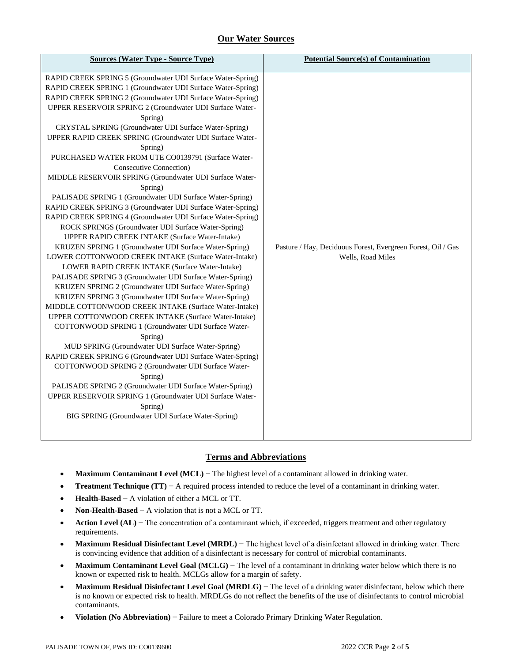# **Our Water Sources**

| <b>Sources (Water Type - Source Type)</b>                                                                                                                                                                                                                                                                                                                                                                                                                                                                                                                                                                                                                                          | <b>Potential Source(s) of Contamination</b>                                       |
|------------------------------------------------------------------------------------------------------------------------------------------------------------------------------------------------------------------------------------------------------------------------------------------------------------------------------------------------------------------------------------------------------------------------------------------------------------------------------------------------------------------------------------------------------------------------------------------------------------------------------------------------------------------------------------|-----------------------------------------------------------------------------------|
| RAPID CREEK SPRING 5 (Groundwater UDI Surface Water-Spring)<br>RAPID CREEK SPRING 1 (Groundwater UDI Surface Water-Spring)<br>RAPID CREEK SPRING 2 (Groundwater UDI Surface Water-Spring)<br>UPPER RESERVOIR SPRING 2 (Groundwater UDI Surface Water-<br>Spring)<br>CRYSTAL SPRING (Groundwater UDI Surface Water-Spring)<br>UPPER RAPID CREEK SPRING (Groundwater UDI Surface Water-<br>Spring)<br>PURCHASED WATER FROM UTE CO0139791 (Surface Water-<br>Consecutive Connection)<br>MIDDLE RESERVOIR SPRING (Groundwater UDI Surface Water-<br>Spring)<br>PALISADE SPRING 1 (Groundwater UDI Surface Water-Spring)<br>RAPID CREEK SPRING 3 (Groundwater UDI Surface Water-Spring) |                                                                                   |
| RAPID CREEK SPRING 4 (Groundwater UDI Surface Water-Spring)<br>ROCK SPRINGS (Groundwater UDI Surface Water-Spring)<br>UPPER RAPID CREEK INTAKE (Surface Water-Intake)<br>KRUZEN SPRING 1 (Groundwater UDI Surface Water-Spring)<br>LOWER COTTONWOOD CREEK INTAKE (Surface Water-Intake)                                                                                                                                                                                                                                                                                                                                                                                            | Pasture / Hay, Deciduous Forest, Evergreen Forest, Oil / Gas<br>Wells, Road Miles |
| LOWER RAPID CREEK INTAKE (Surface Water-Intake)<br>PALISADE SPRING 3 (Groundwater UDI Surface Water-Spring)<br>KRUZEN SPRING 2 (Groundwater UDI Surface Water-Spring)<br>KRUZEN SPRING 3 (Groundwater UDI Surface Water-Spring)<br>MIDDLE COTTONWOOD CREEK INTAKE (Surface Water-Intake)<br>UPPER COTTONWOOD CREEK INTAKE (Surface Water-Intake)<br>COTTONWOOD SPRING 1 (Groundwater UDI Surface Water-                                                                                                                                                                                                                                                                            |                                                                                   |
| Spring)<br>MUD SPRING (Groundwater UDI Surface Water-Spring)<br>RAPID CREEK SPRING 6 (Groundwater UDI Surface Water-Spring)<br>COTTONWOOD SPRING 2 (Groundwater UDI Surface Water-<br>Spring)<br>PALISADE SPRING 2 (Groundwater UDI Surface Water-Spring)<br>UPPER RESERVOIR SPRING 1 (Groundwater UDI Surface Water-<br>Spring)<br>BIG SPRING (Groundwater UDI Surface Water-Spring)                                                                                                                                                                                                                                                                                              |                                                                                   |
|                                                                                                                                                                                                                                                                                                                                                                                                                                                                                                                                                                                                                                                                                    |                                                                                   |

## **Terms and Abbreviations**

- **Maximum Contaminant Level (MCL)** − The highest level of a contaminant allowed in drinking water.
- **Treatment Technique (TT)** − A required process intended to reduce the level of a contaminant in drinking water.
- **Health-Based** − A violation of either a MCL or TT.
- **Non-Health-Based** − A violation that is not a MCL or TT.
- **Action Level (AL)** − The concentration of a contaminant which, if exceeded, triggers treatment and other regulatory requirements.
- **Maximum Residual Disinfectant Level (MRDL)** − The highest level of a disinfectant allowed in drinking water. There is convincing evidence that addition of a disinfectant is necessary for control of microbial contaminants.
- **Maximum Contaminant Level Goal (MCLG)** − The level of a contaminant in drinking water below which there is no known or expected risk to health. MCLGs allow for a margin of safety.
- **Maximum Residual Disinfectant Level Goal (MRDLG)** − The level of a drinking water disinfectant, below which there is no known or expected risk to health. MRDLGs do not reflect the benefits of the use of disinfectants to control microbial contaminants.
- **Violation (No Abbreviation)** − Failure to meet a Colorado Primary Drinking Water Regulation.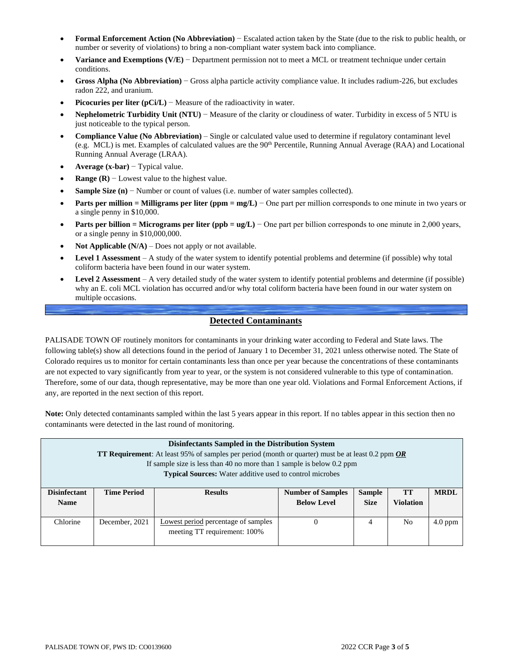- **Formal Enforcement Action (No Abbreviation)** − Escalated action taken by the State (due to the risk to public health, or number or severity of violations) to bring a non-compliant water system back into compliance.
- **Variance and Exemptions (V/E)** − Department permission not to meet a MCL or treatment technique under certain conditions.
- **Gross Alpha (No Abbreviation)** − Gross alpha particle activity compliance value. It includes radium-226, but excludes radon 222, and uranium.
- **Picocuries per liter (pCi/L)** Measure of the radioactivity in water.
- **Nephelometric Turbidity Unit (NTU)** − Measure of the clarity or cloudiness of water. Turbidity in excess of 5 NTU is just noticeable to the typical person.
- **Compliance Value (No Abbreviation)** Single or calculated value used to determine if regulatory contaminant level (e.g. MCL) is met. Examples of calculated values are the 90<sup>th</sup> Percentile, Running Annual Average (RAA) and Locational Running Annual Average (LRAA).
- **Average (x-bar)** − Typical value.
- **Range (R)**  $-$  Lowest value to the highest value.
- **Sample Size (n)** − Number or count of values (i.e. number of water samples collected).
- **Parts per million = Milligrams per liter (ppm = mg/L)** − One part per million corresponds to one minute in two years or a single penny in \$10,000.
- **Parts per billion = Micrograms per liter (ppb = ug/L)** − One part per billion corresponds to one minute in 2,000 years, or a single penny in \$10,000,000.
- **Not Applicable**  $(N/A)$  Does not apply or not available.
- **Level 1 Assessment** A study of the water system to identify potential problems and determine (if possible) why total coliform bacteria have been found in our water system.
- **Level 2 Assessment** A very detailed study of the water system to identify potential problems and determine (if possible) why an E. coli MCL violation has occurred and/or why total coliform bacteria have been found in our water system on multiple occasions.

## **Detected Contaminants**

PALISADE TOWN OF routinely monitors for contaminants in your drinking water according to Federal and State laws. The following table(s) show all detections found in the period of January 1 to December 31, 2021 unless otherwise noted. The State of Colorado requires us to monitor for certain contaminants less than once per year because the concentrations of these contaminants are not expected to vary significantly from year to year, or the system is not considered vulnerable to this type of contamination. Therefore, some of our data, though representative, may be more than one year old. Violations and Formal Enforcement Actions, if any, are reported in the next section of this report.

**Note:** Only detected contaminants sampled within the last 5 years appear in this report. If no tables appear in this section then no contaminants were detected in the last round of monitoring.

| Disinfectants Sampled in the Distribution System<br><b>TT Requirement:</b> At least 95% of samples per period (month or quarter) must be at least 0.2 ppm $OR$<br>If sample size is less than 40 no more than 1 sample is below 0.2 ppm<br><b>Typical Sources:</b> Water additive used to control microbes |                                      |                                                                            |          |                              |                        |             |  |  |
|------------------------------------------------------------------------------------------------------------------------------------------------------------------------------------------------------------------------------------------------------------------------------------------------------------|--------------------------------------|----------------------------------------------------------------------------|----------|------------------------------|------------------------|-------------|--|--|
| <b>Disinfectant</b><br><b>Name</b>                                                                                                                                                                                                                                                                         | <b>Time Period</b><br><b>Results</b> |                                                                            |          | <b>Sample</b><br><b>Size</b> | TТ<br><b>Violation</b> | <b>MRDL</b> |  |  |
| Chlorine                                                                                                                                                                                                                                                                                                   | December, 2021                       | <b>Lowest period percentage of samples</b><br>meeting TT requirement: 100% | $\Omega$ | 4                            | N <sub>0</sub>         | $4.0$ ppm   |  |  |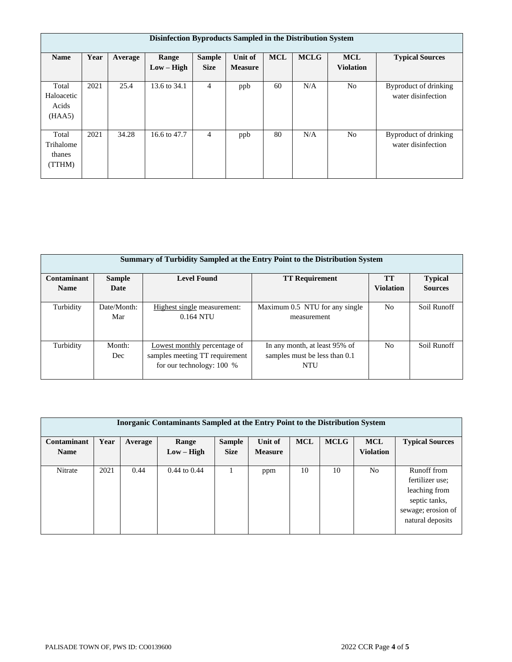| Disinfection Byproducts Sampled in the Distribution System |      |         |                       |                              |                           |            |             |                                |                                             |
|------------------------------------------------------------|------|---------|-----------------------|------------------------------|---------------------------|------------|-------------|--------------------------------|---------------------------------------------|
| <b>Name</b>                                                | Year | Average | Range<br>$Low - High$ | <b>Sample</b><br><b>Size</b> | Unit of<br><b>Measure</b> | <b>MCL</b> | <b>MCLG</b> | <b>MCL</b><br><b>Violation</b> | <b>Typical Sources</b>                      |
| Total<br>Haloacetic<br>Acids<br>(HAA5)                     | 2021 | 25.4    | 13.6 to 34.1          | $\overline{4}$               | ppb                       | 60         | N/A         | N <sub>o</sub>                 | Byproduct of drinking<br>water disinfection |
| Total<br>Trihalome<br>thanes<br>(TTHM)                     | 2021 | 34.28   | 16.6 to 47.7          | 4                            | ppb                       | 80         | N/A         | N <sub>0</sub>                 | Byproduct of drinking<br>water disinfection |

| <b>Summary of Turbidity Sampled at the Entry Point to the Distribution System</b> |                    |                                                                                             |                                                                       |                  |                |  |  |  |  |
|-----------------------------------------------------------------------------------|--------------------|---------------------------------------------------------------------------------------------|-----------------------------------------------------------------------|------------------|----------------|--|--|--|--|
| Contaminant                                                                       | <b>Sample</b>      | <b>Level Found</b>                                                                          | <b>TT Requirement</b>                                                 | <b>TT</b>        | <b>Typical</b> |  |  |  |  |
| <b>Name</b>                                                                       | Date               |                                                                                             |                                                                       | <b>Violation</b> | <b>Sources</b> |  |  |  |  |
| Turbidity                                                                         | Date/Month:<br>Mar | Highest single measurement:<br>$0.164$ NTU                                                  | Maximum 0.5 NTU for any single<br>measurement                         | N <sub>0</sub>   | Soil Runoff    |  |  |  |  |
| Turbidity                                                                         | Month:<br>Dec      | Lowest monthly percentage of<br>samples meeting TT requirement<br>for our technology: 100 % | In any month, at least 95% of<br>samples must be less than 0.1<br>NTU | N <sub>0</sub>   | Soil Runoff    |  |  |  |  |

| <b>Inorganic Contaminants Sampled at the Entry Point to the Distribution System</b> |      |         |                  |               |                |            |             |                  |                                                                                                            |
|-------------------------------------------------------------------------------------|------|---------|------------------|---------------|----------------|------------|-------------|------------------|------------------------------------------------------------------------------------------------------------|
| Contaminant                                                                         | Year | Average | Range            | <b>Sample</b> | Unit of        | <b>MCL</b> | <b>MCLG</b> | <b>MCL</b>       | <b>Typical Sources</b>                                                                                     |
| <b>Name</b>                                                                         |      |         | $Low - High$     | <b>Size</b>   | <b>Measure</b> |            |             | <b>Violation</b> |                                                                                                            |
| Nitrate                                                                             | 2021 | 0.44    | $0.44$ to $0.44$ |               | ppm            | 10         | 10          | N <sub>o</sub>   | Runoff from<br>fertilizer use:<br>leaching from<br>septic tanks,<br>sewage; erosion of<br>natural deposits |